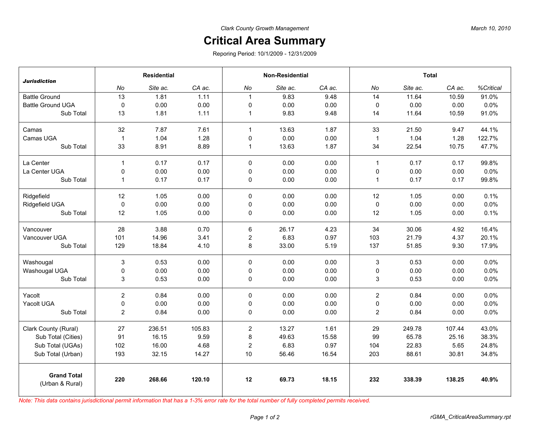## **Critical Area Summary**

Reporing Period: 10/1/2009 - 12/31/2009

|                                       | <b>Residential</b> |          |        | <b>Non-Residential</b> |          |        | <b>Total</b>   |          |        |           |
|---------------------------------------|--------------------|----------|--------|------------------------|----------|--------|----------------|----------|--------|-----------|
| <b>Jurisdiction</b>                   | No                 | Site ac. | CA ac. | No                     | Site ac. | CA ac. | No             | Site ac. | CA ac. | %Critical |
| <b>Battle Ground</b>                  | 13                 | 1.81     | 1.11   | $\mathbf{1}$           | 9.83     | 9.48   | 14             | 11.64    | 10.59  | 91.0%     |
| <b>Battle Ground UGA</b>              | $\mathsf 0$        | 0.00     | 0.00   | $\mathbf 0$            | 0.00     | 0.00   | $\pmb{0}$      | 0.00     | 0.00   | 0.0%      |
| Sub Total                             | 13                 | 1.81     | 1.11   | $\mathbf{1}$           | 9.83     | 9.48   | 14             | 11.64    | 10.59  | 91.0%     |
| Camas                                 | 32                 | 7.87     | 7.61   | $\mathbf{1}$           | 13.63    | 1.87   | 33             | 21.50    | 9.47   | 44.1%     |
| Camas UGA                             | $\mathbf{1}$       | 1.04     | 1.28   | 0                      | 0.00     | 0.00   | $\mathbf{1}$   | 1.04     | 1.28   | 122.7%    |
| Sub Total                             | 33                 | 8.91     | 8.89   | $\mathbf{1}$           | 13.63    | 1.87   | 34             | 22.54    | 10.75  | 47.7%     |
| La Center                             | $\mathbf{1}$       | 0.17     | 0.17   | $\mathbf 0$            | 0.00     | 0.00   | $\mathbf{1}$   | 0.17     | 0.17   | 99.8%     |
| La Center UGA                         | 0                  | 0.00     | 0.00   | $\pmb{0}$              | 0.00     | 0.00   | 0              | 0.00     | 0.00   | 0.0%      |
| Sub Total                             | $\mathbf{1}$       | 0.17     | 0.17   | 0                      | 0.00     | 0.00   | $\mathbf{1}$   | 0.17     | 0.17   | 99.8%     |
| Ridgefield                            | 12                 | 1.05     | 0.00   | 0                      | 0.00     | 0.00   | 12             | 1.05     | 0.00   | 0.1%      |
| Ridgefield UGA                        | $\mathbf 0$        | 0.00     | 0.00   | 0                      | 0.00     | 0.00   | 0              | 0.00     | 0.00   | 0.0%      |
| Sub Total                             | 12                 | 1.05     | 0.00   | 0                      | 0.00     | 0.00   | 12             | 1.05     | 0.00   | 0.1%      |
| Vancouver                             | 28                 | 3.88     | 0.70   | 6                      | 26.17    | 4.23   | 34             | 30.06    | 4.92   | 16.4%     |
| Vancouver UGA                         | 101                | 14.96    | 3.41   | $\boldsymbol{2}$       | 6.83     | 0.97   | 103            | 21.79    | 4.37   | 20.1%     |
| Sub Total                             | 129                | 18.84    | 4.10   | 8                      | 33.00    | 5.19   | 137            | 51.85    | 9.30   | 17.9%     |
| Washougal                             | 3                  | 0.53     | 0.00   | $\Omega$               | 0.00     | 0.00   | 3              | 0.53     | 0.00   | 0.0%      |
| Washougal UGA                         | 0                  | 0.00     | 0.00   | 0                      | 0.00     | 0.00   | 0              | 0.00     | 0.00   | 0.0%      |
| Sub Total                             | 3                  | 0.53     | 0.00   | 0                      | 0.00     | 0.00   | 3              | 0.53     | 0.00   | 0.0%      |
| Yacolt                                | $\overline{c}$     | 0.84     | 0.00   | 0                      | 0.00     | 0.00   | $\overline{2}$ | 0.84     | 0.00   | 0.0%      |
| Yacolt UGA                            | 0                  | 0.00     | 0.00   | 0                      | 0.00     | 0.00   | 0              | 0.00     | 0.00   | 0.0%      |
| Sub Total                             | $\overline{c}$     | 0.84     | 0.00   | 0                      | 0.00     | 0.00   | $\overline{c}$ | 0.84     | 0.00   | 0.0%      |
| Clark County (Rural)                  | 27                 | 236.51   | 105.83 | $\overline{2}$         | 13.27    | 1.61   | 29             | 249.78   | 107.44 | 43.0%     |
| Sub Total (Cities)                    | 91                 | 16.15    | 9.59   | 8                      | 49.63    | 15.58  | 99             | 65.78    | 25.16  | 38.3%     |
| Sub Total (UGAs)                      | 102                | 16.00    | 4.68   | $\boldsymbol{2}$       | 6.83     | 0.97   | 104            | 22.83    | 5.65   | 24.8%     |
| Sub Total (Urban)                     | 193                | 32.15    | 14.27  | 10                     | 56.46    | 16.54  | 203            | 88.61    | 30.81  | 34.8%     |
| <b>Grand Total</b><br>(Urban & Rural) | 220                | 268.66   | 120.10 | 12                     | 69.73    | 18.15  | 232            | 338.39   | 138.25 | 40.9%     |

*Note: This data contains jurisdictional permit information that has a 1-3% error rate for the total number of fully completed permits received.*